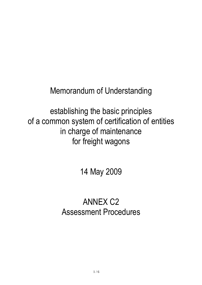Memorandum of Understanding

establishing the basic principles of a common system of certification of entities in charge of maintenance for freight wagons

14 May 2009

# ANNEX C2 Assessment Procedures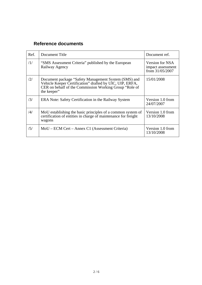# **Reference documents**

| Ref.          | Document Title                                                                                                                                                                            | Document ref.                                           |
|---------------|-------------------------------------------------------------------------------------------------------------------------------------------------------------------------------------------|---------------------------------------------------------|
| /1/           | "SMS Assessment Criteria" published by the European<br>Railway Agency                                                                                                                     | Version for NSA<br>impact assessment<br>from 31/05/2007 |
| /2/           | Document package "Safety Management System (SMS) and<br>Vehicle Keeper Certification" drafted by UIC, UIP, ERFA,<br>CER on behalf of the Commission Working Group "Role of<br>the keeper" | 15/01/2008                                              |
| /3/           | ERA Note: Safety Certification in the Railway System                                                                                                                                      | Version 1.0 from<br>24/07/2007                          |
| $\frac{1}{4}$ | MoU establishing the basic principles of a common system of<br>certification of entities in charge of maintenance for freight<br>wagons                                                   | Version 1.0 from<br>13/10/2008                          |
| /5/           | MoU – ECM Cert – Annex C1 (Assessment Criteria)                                                                                                                                           | Version 1.0 from<br>13/10/2008                          |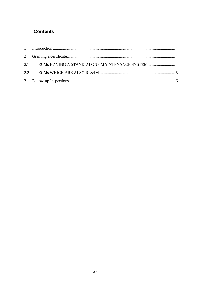## **Contents**

| 2.1 ECMs HAVING A STAND-ALONE MAINTENANCE SYSTEM 4 |  |
|----------------------------------------------------|--|
|                                                    |  |
|                                                    |  |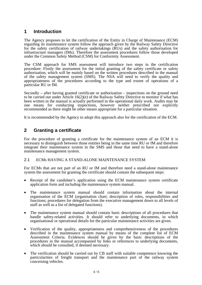### <span id="page-3-0"></span>**1 Introduction**

The Agency proposes to let the certification of the Entity in Charge of Maintenance (ECM) regarding its maintenance system follow the approach given by the Railway Safety Directive for the safety certification of railway undertakings (RUs) and the safety authorisation for infrastructure managers (IMs). Therefore the assessment procedures follow those developed under the Common Safety Method (CSM) for Conformity Assessment.

The CSM approach for SMS assessment will introduce two steps in the certification procedure: Firstly the assessment for the initial granting of the safety certificate or safety authorisation, which will be mainly based on the written procedures described in the manual of the safety management system (SMS). The NSA will need to verify the quality and appropriateness of the procedures according to the type and extent of operations of a particular RU or IM.

Secondly – after having granted certificate or authorisation – inspections on the ground need to be carried out under Article 16(2)(e) of the Railway Safety Directive to monitor if what has been written in the manual is actually performed in the operational daily work. Audits may be one means for conducting inspections, however neither prescribed nor explicitly recommended as there might be other means appropriate for a particular situation.

It is recommended by the Agency to adopt this approach also for the certification of the ECM.

## <span id="page-3-1"></span>**2 Granting a certificate**

For the procedure of granting a certificate for the maintenance system of an ECM it is necessary to distinguish between those entities being in the same time RU or IM and therefore integrate their maintenance system in the SMS and those that need to have a stand-alone maintenance management system.

#### <span id="page-3-2"></span>2.1 ECMs HAVING A STAND-ALONE MAINTENANCE SYSTEM

For ECMs that are not part of an RU or IM and therefore need a stand-alone maintenance system the assessment for granting the certificate should contain the subsequent steps:

- Receipt of the candidate's application using the ECM maintenance system certificate application form and including the maintenance system manual.
- The maintenance system manual should contain information about the internal organisation of the ECM (organisation chart; description of roles, responsibilities and functions; procedures for delegation from the executive management down to all levels of staff as well as a list of delegated functions).
- The maintenance system manual should contain basic descriptions of all procedures that handle safety-related activities. It should refer to underlying documents, in which organisational or operational details for the particular maintenance activities are given.
- Verification of the quality, appropriateness and comprehensiveness of the procedures described in the maintenance system manual by means of the complete list of ECM Assessment Criteria. Evidences should be given by the basic descriptions of the procedures in the manual accompanied by links or references to underlying documents, which should be consulted, if deemed necessary.
- The verification should be carried out by CB staff with suitable competence knowing the particularities of freight transport and the maintenance part of the railway system concerning vehicles.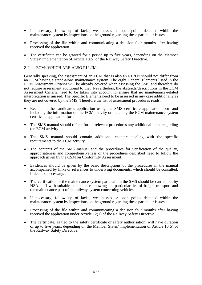- If necessary, follow up of lacks, weaknesses or open points detected within the maintenance system by inspections on the ground regarding these particular issues.
- Processing of the file within and communicating a decision four months after having received the application.
- The certificate can be granted for a period up to five years, depending on the Member States' implementation of Article  $10(5)$  of the Railway Safety Directive.

#### <span id="page-4-0"></span>2.2 ECMs WHICH ARE ALSO RUs/IMs

Generally speaking, the assessment of an ECM that is also an RU/IM should not differ from an ECM having a stand-alone maintenance system. The eight General Elements listed in the ECM Assessment Criteria will be already covered when assessing the SMS and therefore do not require assessment additional to that. Nevertheless, the abstracts/descriptions in the ECM Assessment Criteria need to be taken into account to ensure that no maintenance-related interpretation is missed. The Specific Elements need to be assessed in any case additionally as they are not covered by the SMS. Therefore the list of assessment procedures reads:

- Receipt of the candidate's application using the SMS certificate application form and including the information on the ECM activity or attaching the ECM maintenance system certificate application form.
- The SMS manual should reflect for all relevant procedures any additional items regarding the ECM activity.
- The SMS manual should contain additional chapters dealing with the specific requirements to the ECM activity.
- The contents of the SMS manual and the procedures for verification of the quality, appropriateness and comprehensiveness of the procedures described need to follow the approach given by the CSM on Conformity Assessment.
- Evidences should be given by the basic descriptions of the procedures in the manual accompanied by links or references to underlying documents, which should be consulted, if deemed necessary.
- The verification of the maintenance system parts within the SMS should be carried out by NSA staff with suitable competence knowing the particularities of freight transport and the maintenance part of the railway system concerning vehicles.
- If necessary, follow up of lacks, weaknesses or open points detected within the maintenance system by inspections on the ground regarding these particular issues.
- Processing of the file within and communicating a decision four months after having received the application under Article 12(1) of the Railway Safety Directive.
- The certificate, as tied to the safety certificate or safety authorisation, will have duration of up to five years, depending on the Member States' implementation of Article 10(5) of the Railway Safety Directive.